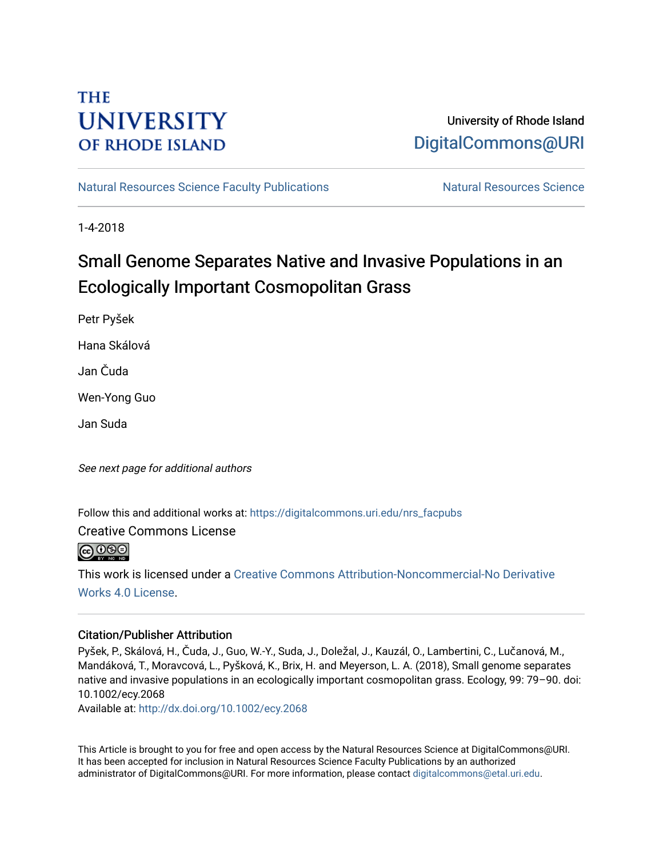# **THE UNIVERSITY OF RHODE ISLAND**

## University of Rhode Island [DigitalCommons@URI](https://digitalcommons.uri.edu/)

[Natural Resources Science Faculty Publications](https://digitalcommons.uri.edu/nrs_facpubs) Natural Resources Science

1-4-2018

# Small Genome Separates Native and Invasive Populations in an Ecologically Important Cosmopolitan Grass

Petr Pyšek

Hana Skálová

Jan Čuda

Wen-Yong Guo

Jan Suda

See next page for additional authors

Follow this and additional works at: [https://digitalcommons.uri.edu/nrs\\_facpubs](https://digitalcommons.uri.edu/nrs_facpubs?utm_source=digitalcommons.uri.edu%2Fnrs_facpubs%2F64&utm_medium=PDF&utm_campaign=PDFCoverPages) 

Creative Commons License

 $\bigcirc$  000

This work is licensed under a [Creative Commons Attribution-Noncommercial-No Derivative](https://creativecommons.org/licenses/by-nc-nd/4.0/)  [Works 4.0 License](https://creativecommons.org/licenses/by-nc-nd/4.0/).

### Citation/Publisher Attribution

Pyšek, P., Skálová, H., Čuda, J., Guo, W.-Y., Suda, J., Doležal, J., Kauzál, O., Lambertini, C., Lučanová, M., Mandáková, T., Moravcová, L., Pyšková, K., Brix, H. and Meyerson, L. A. (2018), Small genome separates native and invasive populations in an ecologically important cosmopolitan grass. Ecology, 99: 79–90. doi: 10.1002/ecy.2068

Available at:<http://dx.doi.org/10.1002/ecy.2068>

This Article is brought to you for free and open access by the Natural Resources Science at DigitalCommons@URI. It has been accepted for inclusion in Natural Resources Science Faculty Publications by an authorized administrator of DigitalCommons@URI. For more information, please contact [digitalcommons@etal.uri.edu.](mailto:digitalcommons@etal.uri.edu)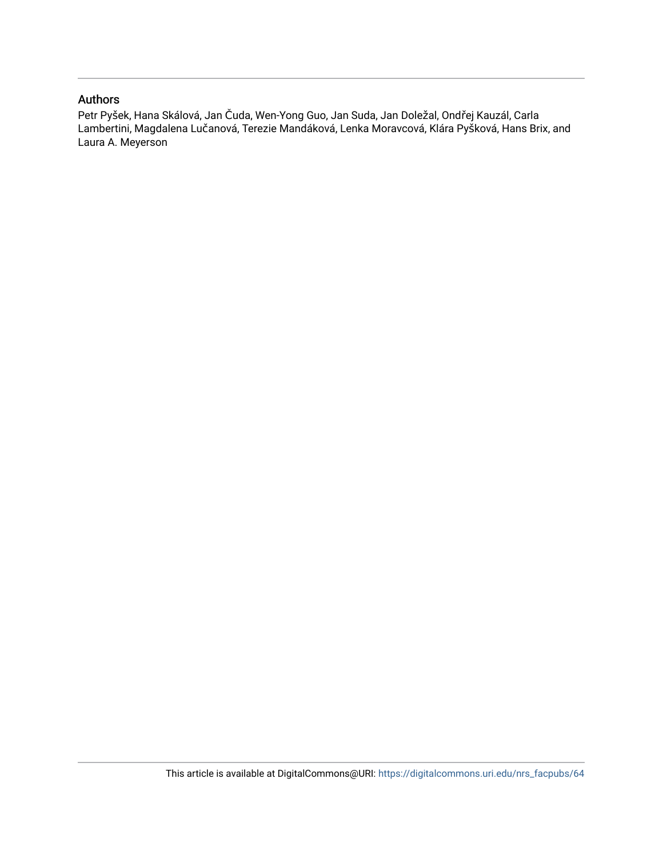### Authors

Petr Pyšek, Hana Skálová, Jan Čuda, Wen-Yong Guo, Jan Suda, Jan Doležal, Ondřej Kauzál, Carla Lambertini, Magdalena Lučanová, Terezie Mandáková, Lenka Moravcová, Klára Pyšková, Hans Brix, and Laura A. Meyerson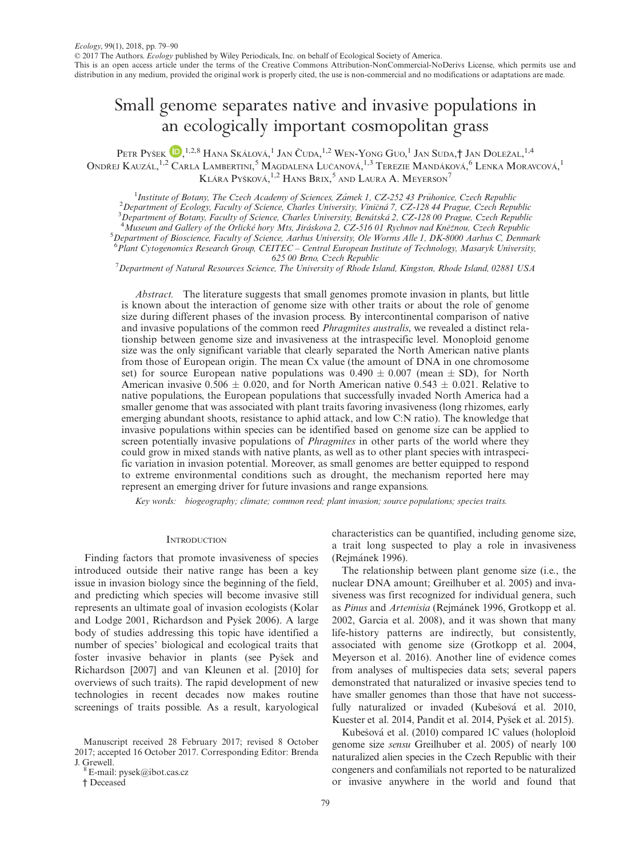## Small genome separates native and invasive populations in an ecologically important cosmopolitan grass

Petr Pyšek (D,<sup>1,2,8</sup> Hana Skálová, <sup>1</sup> Jan Čuda, <sup>1,2</sup> Wen-Yong Guo, <sup>1</sup> Jan Suda,† Jan Doležal, <sup>1,4</sup> Ondřej Kauzál,<sup>1,[2](http://orcid.org/0000-0001-8500-442X)</sup> Carla Lambertini,<sup>5</sup> Magdalena Lučanová,<sup>1,3</sup> Terezie Mandáková,<sup>6</sup> Lenka Moravcová,<sup>1</sup> Klára Pyšková, <sup>1,2</sup> Hans Brix, <sup>5</sup> and Laura A. Meyerson<sup>7</sup>

<sup>1</sup>Institute of Botany, The Czech Academy of Sciences, Zámek 1, CZ-252 43 Průhonice, Czech Republic <sup>1</sup>Institute of Botany, The Czech Academy of Sciences, Zámek 1, CZ-252 43 Průhonice, Czech Republic<br><sup>2</sup>Denastment of Eaglemy Faculty of Science, Charles University, Viničná 7, CZ 128 44 Pracus, Czech Beny

<sup>2</sup> Department of Ecology, Faculty of Science, Charles University, Viničná 7, CZ-128 44 Prague, Czech Republic 3<br><sup>3</sup> Department of Botany, Faculty of Science, Charles University, Banátská 2, CZ-128.00 Prague, Czech Republ

Department of Botany, Faculty of Science, Charles University, Benatska 2, CZ-128 00 Prague, Czech Republic <sup>4</sup>

<sup>4</sup> Museum and Gallery of the Orlické hory Mts, Jiráskova 2, CZ-516 01 Rychnov nad Kněžnou, Czech Republic

<sup>5</sup>Department of Bioscience, Faculty of Science, Aarhus University, Ole Worms Alle 1, DK-8000 Aarhus C, Denmark 6 Plant Cytogenomics Research Group, CEITEC – Central European Institute of Technology, Masaryk University,

625 00 Brno, Czech Republic<br><sup>7</sup> Department of Natural Resources Science, The University of Rhode Island, Kingston, Rhode Island, 02881 USA

Abstract. The literature suggests that small genomes promote invasion in plants, but little is known about the interaction of genome size with other traits or about the role of genome size during different phases of the invasion process. By intercontinental comparison of native and invasive populations of the common reed Phragmites australis, we revealed a distinct relationship between genome size and invasiveness at the intraspecific level. Monoploid genome size was the only significant variable that clearly separated the North American native plants from those of European origin. The mean Cx value (the amount of DNA in one chromosome set) for source European native populations was  $0.490 \pm 0.007$  (mean  $\pm$  SD), for North American invasive  $0.506 \pm 0.020$ , and for North American native  $0.543 \pm 0.021$ . Relative to native populations, the European populations that successfully invaded North America had a smaller genome that was associated with plant traits favoring invasiveness (long rhizomes, early emerging abundant shoots, resistance to aphid attack, and low C:N ratio). The knowledge that invasive populations within species can be identified based on genome size can be applied to screen potentially invasive populations of *Phragmites* in other parts of the world where they could grow in mixed stands with native plants, as well as to other plant species with intraspecific variation in invasion potential. Moreover, as small genomes are better equipped to respond to extreme environmental conditions such as drought, the mechanism reported here may represent an emerging driver for future invasions and range expansions.

Key words: biogeography; climate; common reed; plant invasion; source populations; species traits.

#### **INTRODUCTION**

Finding factors that promote invasiveness of species introduced outside their native range has been a key issue in invasion biology since the beginning of the field, and predicting which species will become invasive still represents an ultimate goal of invasion ecologists (Kolar and Lodge 2001, Richardson and Pysek 2006). A large body of studies addressing this topic have identified a number of species' biological and ecological traits that foster invasive behavior in plants (see Pysek and Richardson [2007] and van Kleunen et al. [2010] for overviews of such traits). The rapid development of new technologies in recent decades now makes routine screenings of traits possible. As a result, karyological

† Deceased

characteristics can be quantified, including genome size, a trait long suspected to play a role in invasiveness (Rejmanek 1996).

The relationship between plant genome size (i.e., the nuclear DNA amount; Greilhuber et al. 2005) and invasiveness was first recognized for individual genera, such as Pinus and Artemisia (Rejmánek 1996, Grotkopp et al. 2002, Garcia et al. 2008), and it was shown that many life-history patterns are indirectly, but consistently, associated with genome size (Grotkopp et al. 2004, Meyerson et al. 2016). Another line of evidence comes from analyses of multispecies data sets; several papers demonstrated that naturalized or invasive species tend to have smaller genomes than those that have not successfully naturalized or invaded (Kubešová et al. 2010, Kuester et al. 2014, Pandit et al. 2014, Pysek et al. 2015).

Kubešová et al. (2010) compared 1C values (holoploid genome size sensu Greilhuber et al. 2005) of nearly 100 naturalized alien species in the Czech Republic with their congeners and confamilials not reported to be naturalized or invasive anywhere in the world and found that

Manuscript received 28 February 2017; revised 8 October 2017; accepted 16 October 2017. Corresponding Editor: Brenda J. Grewell.  $8E$ -mail: pysek@ibot.cas.cz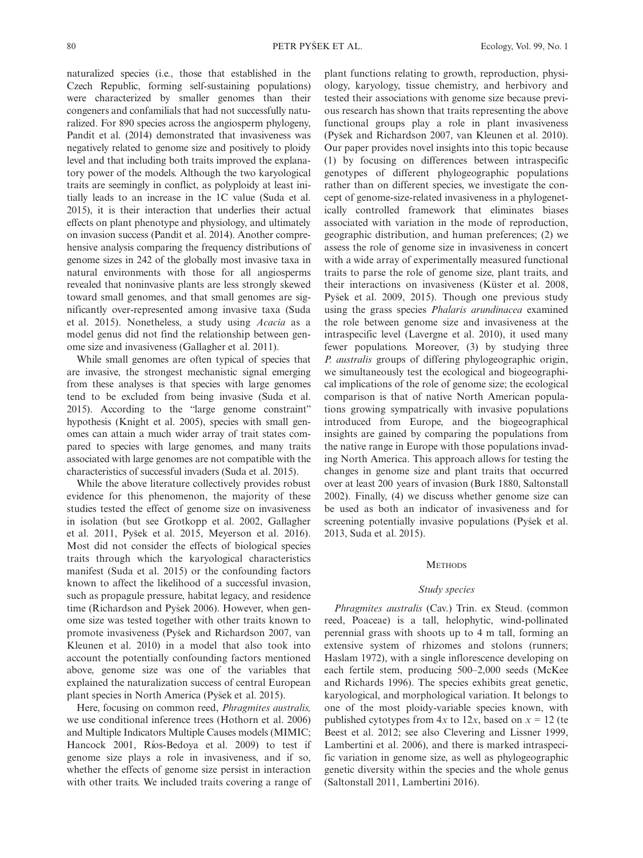naturalized species (i.e., those that established in the Czech Republic, forming self-sustaining populations) were characterized by smaller genomes than their congeners and confamilials that had not successfully naturalized. For 890 species across the angiosperm phylogeny, Pandit et al. (2014) demonstrated that invasiveness was negatively related to genome size and positively to ploidy level and that including both traits improved the explanatory power of the models. Although the two karyological traits are seemingly in conflict, as polyploidy at least initially leads to an increase in the 1C value (Suda et al. 2015), it is their interaction that underlies their actual effects on plant phenotype and physiology, and ultimately on invasion success (Pandit et al. 2014). Another comprehensive analysis comparing the frequency distributions of genome sizes in 242 of the globally most invasive taxa in natural environments with those for all angiosperms revealed that noninvasive plants are less strongly skewed toward small genomes, and that small genomes are significantly over-represented among invasive taxa (Suda et al. 2015). Nonetheless, a study using Acacia as a model genus did not find the relationship between genome size and invasiveness (Gallagher et al. 2011).

While small genomes are often typical of species that are invasive, the strongest mechanistic signal emerging from these analyses is that species with large genomes tend to be excluded from being invasive (Suda et al. 2015). According to the "large genome constraint" hypothesis (Knight et al. 2005), species with small genomes can attain a much wider array of trait states compared to species with large genomes, and many traits associated with large genomes are not compatible with the characteristics of successful invaders (Suda et al. 2015).

While the above literature collectively provides robust evidence for this phenomenon, the majority of these studies tested the effect of genome size on invasiveness in isolation (but see Grotkopp et al. 2002, Gallagher et al. 2011, Pysek et al. 2015, Meyerson et al. 2016). Most did not consider the effects of biological species traits through which the karyological characteristics manifest (Suda et al. 2015) or the confounding factors known to affect the likelihood of a successful invasion, such as propagule pressure, habitat legacy, and residence time (Richardson and Pyšek 2006). However, when genome size was tested together with other traits known to promote invasiveness (Pysek and Richardson 2007, van Kleunen et al. 2010) in a model that also took into account the potentially confounding factors mentioned above, genome size was one of the variables that explained the naturalization success of central European plant species in North America (Pysek et al. 2015).

Here, focusing on common reed, Phragmites australis, we use conditional inference trees (Hothorn et al. 2006) and Multiple Indicators Multiple Causes models (MIMIC; Hancock 2001, Ríos-Bedoya et al. 2009) to test if genome size plays a role in invasiveness, and if so, whether the effects of genome size persist in interaction with other traits. We included traits covering a range of plant functions relating to growth, reproduction, physiology, karyology, tissue chemistry, and herbivory and tested their associations with genome size because previous research has shown that traits representing the above functional groups play a role in plant invasiveness (Pysek and Richardson 2007, van Kleunen et al. 2010). Our paper provides novel insights into this topic because (1) by focusing on differences between intraspecific genotypes of different phylogeographic populations rather than on different species, we investigate the concept of genome-size-related invasiveness in a phylogenetically controlled framework that eliminates biases associated with variation in the mode of reproduction, geographic distribution, and human preferences; (2) we assess the role of genome size in invasiveness in concert with a wide array of experimentally measured functional traits to parse the role of genome size, plant traits, and their interactions on invasiveness (Küster et al. 2008, Pysek et al. 2009, 2015). Though one previous study using the grass species Phalaris arundinacea examined the role between genome size and invasiveness at the intraspecific level (Lavergne et al. 2010), it used many fewer populations. Moreover, (3) by studying three P. australis groups of differing phylogeographic origin, we simultaneously test the ecological and biogeographical implications of the role of genome size; the ecological comparison is that of native North American populations growing sympatrically with invasive populations introduced from Europe, and the biogeographical insights are gained by comparing the populations from the native range in Europe with those populations invading North America. This approach allows for testing the changes in genome size and plant traits that occurred over at least 200 years of invasion (Burk 1880, Saltonstall 2002). Finally, (4) we discuss whether genome size can be used as both an indicator of invasiveness and for screening potentially invasive populations (Pyšek et al. 2013, Suda et al. 2015).

#### **METHODS**

#### Study species

Phragmites australis (Cav.) Trin. ex Steud. (common reed, Poaceae) is a tall, helophytic, wind-pollinated perennial grass with shoots up to 4 m tall, forming an extensive system of rhizomes and stolons (runners; Haslam 1972), with a single inflorescence developing on each fertile stem, producing 500–2,000 seeds (McKee and Richards 1996). The species exhibits great genetic, karyological, and morphological variation. It belongs to one of the most ploidy-variable species known, with published cytotypes from  $4x$  to  $12x$ , based on  $x = 12$  (te Beest et al. 2012; see also Clevering and Lissner 1999, Lambertini et al. 2006), and there is marked intraspecific variation in genome size, as well as phylogeographic genetic diversity within the species and the whole genus (Saltonstall 2011, Lambertini 2016).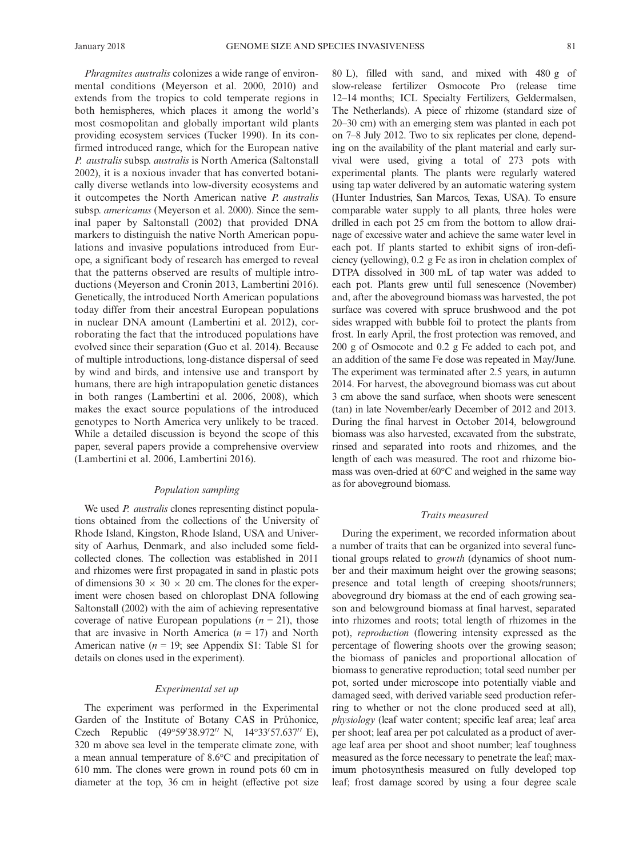Phragmites australis colonizes a wide range of environmental conditions (Meyerson et al. 2000, 2010) and extends from the tropics to cold temperate regions in both hemispheres, which places it among the world's most cosmopolitan and globally important wild plants providing ecosystem services (Tucker 1990). In its confirmed introduced range, which for the European native P. australis subsp. australis is North America (Saltonstall 2002), it is a noxious invader that has converted botanically diverse wetlands into low-diversity ecosystems and it outcompetes the North American native P. australis subsp. americanus (Meyerson et al. 2000). Since the seminal paper by Saltonstall (2002) that provided DNA markers to distinguish the native North American populations and invasive populations introduced from Europe, a significant body of research has emerged to reveal that the patterns observed are results of multiple introductions (Meyerson and Cronin 2013, Lambertini 2016). Genetically, the introduced North American populations today differ from their ancestral European populations in nuclear DNA amount (Lambertini et al. 2012), corroborating the fact that the introduced populations have evolved since their separation (Guo et al. 2014). Because of multiple introductions, long-distance dispersal of seed by wind and birds, and intensive use and transport by humans, there are high intrapopulation genetic distances in both ranges (Lambertini et al. 2006, 2008), which makes the exact source populations of the introduced genotypes to North America very unlikely to be traced. While a detailed discussion is beyond the scope of this paper, several papers provide a comprehensive overview (Lambertini et al. 2006, Lambertini 2016).

#### Population sampling

We used *P. australis* clones representing distinct populations obtained from the collections of the University of Rhode Island, Kingston, Rhode Island, USA and University of Aarhus, Denmark, and also included some fieldcollected clones. The collection was established in 2011 and rhizomes were first propagated in sand in plastic pots of dimensions  $30 \times 30 \times 20$  cm. The clones for the experiment were chosen based on chloroplast DNA following Saltonstall (2002) with the aim of achieving representative coverage of native European populations  $(n = 21)$ , those that are invasive in North America  $(n = 17)$  and North American native  $(n = 19)$ ; see Appendix S1: Table S1 for details on clones used in the experiment).

#### Experimental set up

The experiment was performed in the Experimental Garden of the Institute of Botany CAS in Pruhonice, Czech Republic (49°59'38.972" N, 14°33'57.637" E), 320 m above sea level in the temperate climate zone, with a mean annual temperature of 8.6°C and precipitation of 610 mm. The clones were grown in round pots 60 cm in diameter at the top, 36 cm in height (effective pot size 80 L), filled with sand, and mixed with 480 g of slow-release fertilizer Osmocote Pro (release time 12–14 months; ICL Specialty Fertilizers, Geldermalsen, The Netherlands). A piece of rhizome (standard size of 20–30 cm) with an emerging stem was planted in each pot on 7–8 July 2012. Two to six replicates per clone, depending on the availability of the plant material and early survival were used, giving a total of 273 pots with experimental plants. The plants were regularly watered using tap water delivered by an automatic watering system (Hunter Industries, San Marcos, Texas, USA). To ensure comparable water supply to all plants, three holes were drilled in each pot 25 cm from the bottom to allow drainage of excessive water and achieve the same water level in each pot. If plants started to exhibit signs of iron-deficiency (yellowing), 0.2 g Fe as iron in chelation complex of DTPA dissolved in 300 mL of tap water was added to each pot. Plants grew until full senescence (November) and, after the aboveground biomass was harvested, the pot surface was covered with spruce brushwood and the pot sides wrapped with bubble foil to protect the plants from frost. In early April, the frost protection was removed, and 200 g of Osmocote and 0.2 g Fe added to each pot, and an addition of the same Fe dose was repeated in May/June. The experiment was terminated after 2.5 years, in autumn 2014. For harvest, the aboveground biomass was cut about 3 cm above the sand surface, when shoots were senescent (tan) in late November/early December of 2012 and 2013. During the final harvest in October 2014, belowground biomass was also harvested, excavated from the substrate, rinsed and separated into roots and rhizomes, and the length of each was measured. The root and rhizome biomass was oven-dried at 60°C and weighed in the same way as for aboveground biomass.

#### Traits measured

During the experiment, we recorded information about a number of traits that can be organized into several functional groups related to growth (dynamics of shoot number and their maximum height over the growing seasons; presence and total length of creeping shoots/runners; aboveground dry biomass at the end of each growing season and belowground biomass at final harvest, separated into rhizomes and roots; total length of rhizomes in the pot), reproduction (flowering intensity expressed as the percentage of flowering shoots over the growing season; the biomass of panicles and proportional allocation of biomass to generative reproduction; total seed number per pot, sorted under microscope into potentially viable and damaged seed, with derived variable seed production referring to whether or not the clone produced seed at all), physiology (leaf water content; specific leaf area; leaf area per shoot; leaf area per pot calculated as a product of average leaf area per shoot and shoot number; leaf toughness measured as the force necessary to penetrate the leaf; maximum photosynthesis measured on fully developed top leaf; frost damage scored by using a four degree scale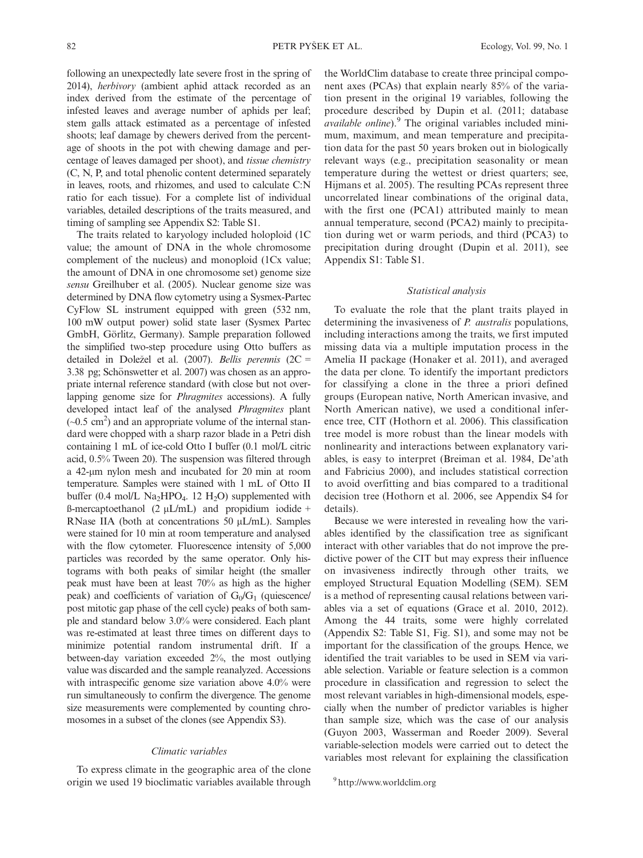following an unexpectedly late severe frost in the spring of 2014), herbivory (ambient aphid attack recorded as an index derived from the estimate of the percentage of infested leaves and average number of aphids per leaf; stem galls attack estimated as a percentage of infested shoots; leaf damage by chewers derived from the percentage of shoots in the pot with chewing damage and percentage of leaves damaged per shoot), and tissue chemistry (C, N, P, and total phenolic content determined separately in leaves, roots, and rhizomes, and used to calculate C:N ratio for each tissue). For a complete list of individual variables, detailed descriptions of the traits measured, and timing of sampling see Appendix S2: Table S1.

The traits related to karyology included holoploid (1C value; the amount of DNA in the whole chromosome complement of the nucleus) and monoploid (1Cx value; the amount of DNA in one chromosome set) genome size sensu Greilhuber et al. (2005). Nuclear genome size was determined by DNA flow cytometry using a Sysmex-Partec CyFlow SL instrument equipped with green (532 nm, 100 mW output power) solid state laser (Sysmex Partec GmbH, Görlitz, Germany). Sample preparation followed the simplified two-step procedure using Otto buffers as detailed in Doležel et al. (2007). Bellis perennis (2C = 3.38 pg; Schönswetter et al. 2007) was chosen as an appropriate internal reference standard (with close but not overlapping genome size for Phragmites accessions). A fully developed intact leaf of the analysed Phragmites plant  $(\sim 0.5 \text{ cm}^2)$  and an appropriate volume of the internal standard were chopped with a sharp razor blade in a Petri dish containing 1 mL of ice-cold Otto I buffer (0.1 mol/L citric acid, 0.5% Tween 20). The suspension was filtered through a 42-um nylon mesh and incubated for 20 min at room temperature. Samples were stained with 1 mL of Otto II buffer (0.4 mol/L Na<sub>2</sub>HPO<sub>4</sub>. 12 H<sub>2</sub>O) supplemented with  $\beta$ -mercaptoethanol (2  $\mu L/mL$ ) and propidium iodide + RNase IIA (both at concentrations 50  $\mu L/mL$ ). Samples were stained for 10 min at room temperature and analysed with the flow cytometer. Fluorescence intensity of 5,000 particles was recorded by the same operator. Only histograms with both peaks of similar height (the smaller peak must have been at least 70% as high as the higher peak) and coefficients of variation of  $G_0/G_1$  (quiescence/ post mitotic gap phase of the cell cycle) peaks of both sample and standard below 3.0% were considered. Each plant was re-estimated at least three times on different days to minimize potential random instrumental drift. If a between-day variation exceeded 2%, the most outlying value was discarded and the sample reanalyzed. Accessions with intraspecific genome size variation above 4.0% were run simultaneously to confirm the divergence. The genome size measurements were complemented by counting chromosomes in a subset of the clones (see Appendix S3).

#### Climatic variables

To express climate in the geographic area of the clone origin we used 19 bioclimatic variables available through the WorldClim database to create three principal component axes (PCAs) that explain nearly 85% of the variation present in the original 19 variables, following the procedure described by Dupin et al. (2011; database  $available~online$ ). $9$  The original variables included minimum, maximum, and mean temperature and precipitation data for the past 50 years broken out in biologically relevant ways (e.g., precipitation seasonality or mean temperature during the wettest or driest quarters; see, Hijmans et al. 2005). The resulting PCAs represent three uncorrelated linear combinations of the original data, with the first one (PCA1) attributed mainly to mean annual temperature, second (PCA2) mainly to precipitation during wet or warm periods, and third (PCA3) to precipitation during drought (Dupin et al. 2011), see Appendix S1: Table S1.

#### Statistical analysis

To evaluate the role that the plant traits played in determining the invasiveness of *P. australis* populations, including interactions among the traits, we first imputed missing data via a multiple imputation process in the Amelia II package (Honaker et al. 2011), and averaged the data per clone. To identify the important predictors for classifying a clone in the three a priori defined groups (European native, North American invasive, and North American native), we used a conditional inference tree, CIT (Hothorn et al. 2006). This classification tree model is more robust than the linear models with nonlinearity and interactions between explanatory variables, is easy to interpret (Breiman et al. 1984, De'ath and Fabricius 2000), and includes statistical correction to avoid overfitting and bias compared to a traditional decision tree (Hothorn et al. 2006, see Appendix S4 for details).

Because we were interested in revealing how the variables identified by the classification tree as significant interact with other variables that do not improve the predictive power of the CIT but may express their influence on invasiveness indirectly through other traits, we employed Structural Equation Modelling (SEM). SEM is a method of representing causal relations between variables via a set of equations (Grace et al. 2010, 2012). Among the 44 traits, some were highly correlated (Appendix S2: Table S1, Fig. S1), and some may not be important for the classification of the groups. Hence, we identified the trait variables to be used in SEM via variable selection. Variable or feature selection is a common procedure in classification and regression to select the most relevant variables in high-dimensional models, especially when the number of predictor variables is higher than sample size, which was the case of our analysis (Guyon 2003, Wasserman and Roeder 2009). Several variable-selection models were carried out to detect the variables most relevant for explaining the classification

<sup>9</sup> http://www.worldclim.org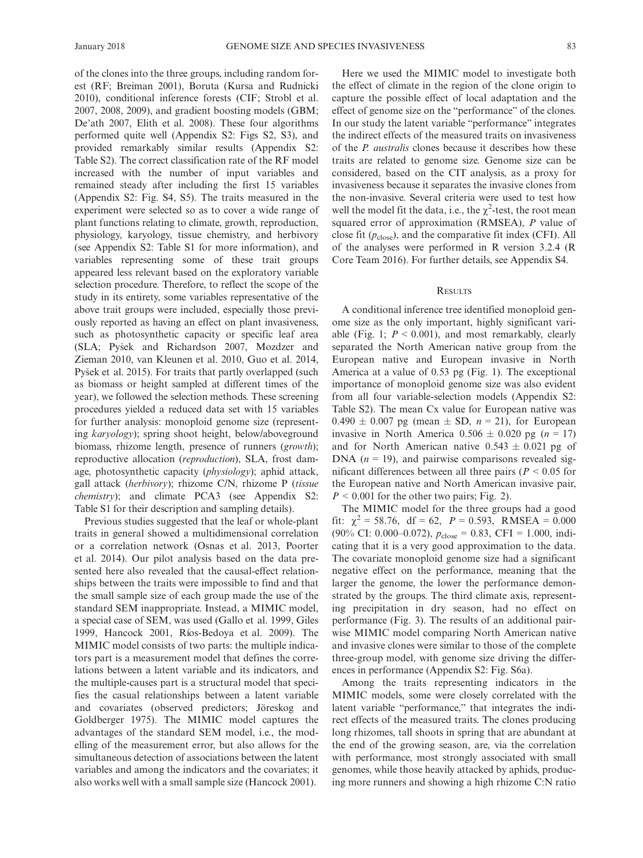of the clones into the three groups, including random forest (RF; Breiman 2001), Boruta (Kursa and Rudnicki 2010), conditional inference forests (CIF; Strobl et al. 2007, 2008, 2009), and gradient boosting models (GBM; De'ath 2007, Elith et al. 2008). These four algorithms performed quite well (Appendix S2: Figs S2, S3), and provided remarkably similar results (Appendix S2: Table S2). The correct classification rate of the RF model increased with the number of input variables and remained steady after including the first 15 variables (Appendix S2: Fig. S4, S5). The traits measured in the experiment were selected so as to cover a wide range of plant functions relating to climate, growth, reproduction, physiology, karyology, tissue chemistry, and herbivory (see Appendix S2: Table S1 for more information), and variables representing some of these trait groups appeared less relevant based on the exploratory variable selection procedure. Therefore, to reflect the scope of the study in its entirety, some variables representative of the above trait groups were included, especially those previously reported as having an effect on plant invasiveness, such as photosynthetic capacity or specific leaf area (SLA; Pysek and Richardson 2007, Mozdzer and Zieman 2010, van Kleunen et al. 2010, Guo et al. 2014, Pysek et al. 2015). For traits that partly overlapped (such as biomass or height sampled at different times of the year), we followed the selection methods. These screening procedures yielded a reduced data set with 15 variables for further analysis: monoploid genome size (representing karyology); spring shoot height, below/aboveground biomass, rhizome length, presence of runners (growth); reproductive allocation (reproduction), SLA, frost damage, photosynthetic capacity (*physiology*); aphid attack, gall attack (herbivory); rhizome C/N, rhizome P (tissue chemistry); and climate PCA3 (see Appendix S2: Table S1 for their description and sampling details).

Previous studies suggested that the leaf or whole-plant traits in general showed a multidimensional correlation or a correlation network (Osnas et al. 2013, Poorter et al. 2014). Our pilot analysis based on the data presented here also revealed that the causal-effect relationships between the traits were impossible to find and that the small sample size of each group made the use of the standard SEM inappropriate. Instead, a MIMIC model, a special case of SEM, was used (Gallo et al. 1999, Giles 1999, Hancock 2001, Rıos-Bedoya et al. 2009). The MIMIC model consists of two parts: the multiple indicators part is a measurement model that defines the correlations between a latent variable and its indicators, and the multiple-causes part is a structural model that specifies the casual relationships between a latent variable and covariates (observed predictors; Jӧreskog and Goldberger 1975). The MIMIC model captures the advantages of the standard SEM model, i.e., the modelling of the measurement error, but also allows for the simultaneous detection of associations between the latent variables and among the indicators and the covariates; it also works well with a small sample size (Hancock 2001).

Here we used the MIMIC model to investigate both the effect of climate in the region of the clone origin to capture the possible effect of local adaptation and the effect of genome size on the "performance" of the clones. In our study the latent variable "performance" integrates the indirect effects of the measured traits on invasiveness of the P. australis clones because it describes how these traits are related to genome size. Genome size can be considered, based on the CIT analysis, as a proxy for invasiveness because it separates the invasive clones from the non-invasive. Several criteria were used to test how well the model fit the data, i.e., the  $\chi^2$ -test, the root mean squared error of approximation (RMSEA), P value of close fit  $(p_{close})$ , and the comparative fit index (CFI). All of the analyses were performed in R version 3.2.4 (R Core Team 2016). For further details, see Appendix S4.

#### **RESULTS**

A conditional inference tree identified monoploid genome size as the only important, highly significant variable (Fig. 1;  $P < 0.001$ ), and most remarkably, clearly separated the North American native group from the European native and European invasive in North America at a value of 0.53 pg (Fig. 1). The exceptional importance of monoploid genome size was also evident from all four variable-selection models (Appendix S2: Table S2). The mean Cx value for European native was  $0.490 \pm 0.007$  pg (mean  $\pm$  SD,  $n = 21$ ), for European invasive in North America  $0.506 \pm 0.020$  pg (n = 17) and for North American native  $0.543 \pm 0.021$  pg of DNA  $(n = 19)$ , and pairwise comparisons revealed significant differences between all three pairs ( $P < 0.05$  for the European native and North American invasive pair,  $P < 0.001$  for the other two pairs; Fig. 2).

The MIMIC model for the three groups had a good fit:  $\chi^2 = 58.76$ , df = 62, P = 0.593, RMSEA = 0.000 (90% CI: 0.000–0.072),  $p_{close} = 0.83$ , CFI = 1.000, indicating that it is a very good approximation to the data. The covariate monoploid genome size had a significant negative effect on the performance, meaning that the larger the genome, the lower the performance demonstrated by the groups. The third climate axis, representing precipitation in dry season, had no effect on performance (Fig. 3). The results of an additional pairwise MIMIC model comparing North American native and invasive clones were similar to those of the complete three-group model, with genome size driving the differences in performance (Appendix S2: Fig. S6a).

Among the traits representing indicators in the MIMIC models, some were closely correlated with the latent variable "performance," that integrates the indirect effects of the measured traits. The clones producing long rhizomes, tall shoots in spring that are abundant at the end of the growing season, are, via the correlation with performance, most strongly associated with small genomes, while those heavily attacked by aphids, producing more runners and showing a high rhizome C:N ratio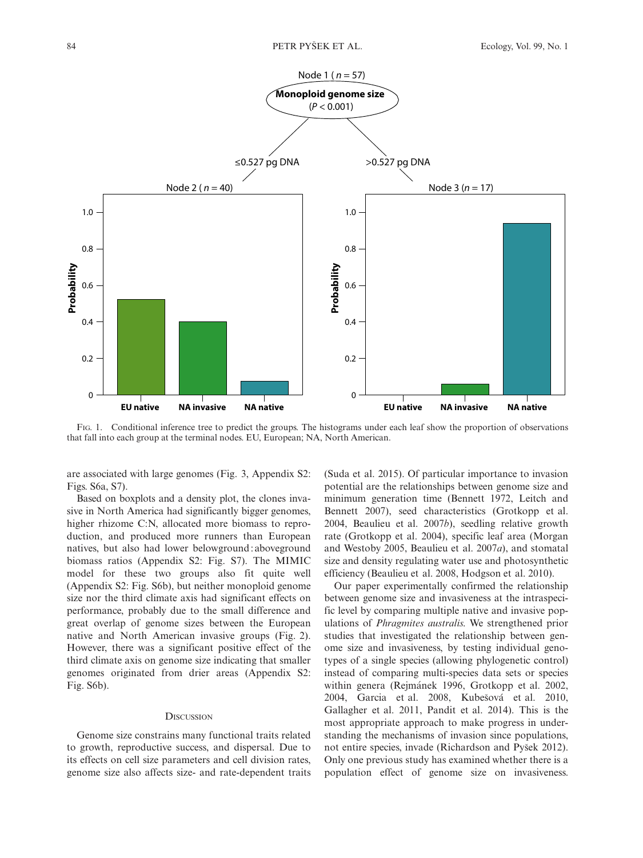

FIG. 1. Conditional inference tree to predict the groups. The histograms under each leaf show the proportion of observations that fall into each group at the terminal nodes. EU, European; NA, North American.

are associated with large genomes (Fig. 3, Appendix S2: Figs. S6a, S7).

Based on boxplots and a density plot, the clones invasive in North America had significantly bigger genomes, higher rhizome C:N, allocated more biomass to reproduction, and produced more runners than European natives, but also had lower belowground: aboveground biomass ratios (Appendix S2: Fig. S7). The MIMIC model for these two groups also fit quite well (Appendix S2: Fig. S6b), but neither monoploid genome size nor the third climate axis had significant effects on performance, probably due to the small difference and great overlap of genome sizes between the European native and North American invasive groups (Fig. 2). However, there was a significant positive effect of the third climate axis on genome size indicating that smaller genomes originated from drier areas (Appendix S2: Fig. S6b).

#### **DISCUSSION**

Genome size constrains many functional traits related to growth, reproductive success, and dispersal. Due to its effects on cell size parameters and cell division rates, genome size also affects size- and rate-dependent traits (Suda et al. 2015). Of particular importance to invasion potential are the relationships between genome size and minimum generation time (Bennett 1972, Leitch and Bennett 2007), seed characteristics (Grotkopp et al. 2004, Beaulieu et al. 2007b), seedling relative growth rate (Grotkopp et al. 2004), specific leaf area (Morgan and Westoby 2005, Beaulieu et al. 2007a), and stomatal size and density regulating water use and photosynthetic efficiency (Beaulieu et al. 2008, Hodgson et al. 2010).

Our paper experimentally confirmed the relationship between genome size and invasiveness at the intraspecific level by comparing multiple native and invasive populations of Phragmites australis. We strengthened prior studies that investigated the relationship between genome size and invasiveness, by testing individual genotypes of a single species (allowing phylogenetic control) instead of comparing multi-species data sets or species within genera (Rejmánek 1996, Grotkopp et al. 2002, 2004, Garcia et al. 2008, Kubešová et al. 2010, Gallagher et al. 2011, Pandit et al. 2014). This is the most appropriate approach to make progress in understanding the mechanisms of invasion since populations, not entire species, invade (Richardson and Pysek 2012). Only one previous study has examined whether there is a population effect of genome size on invasiveness.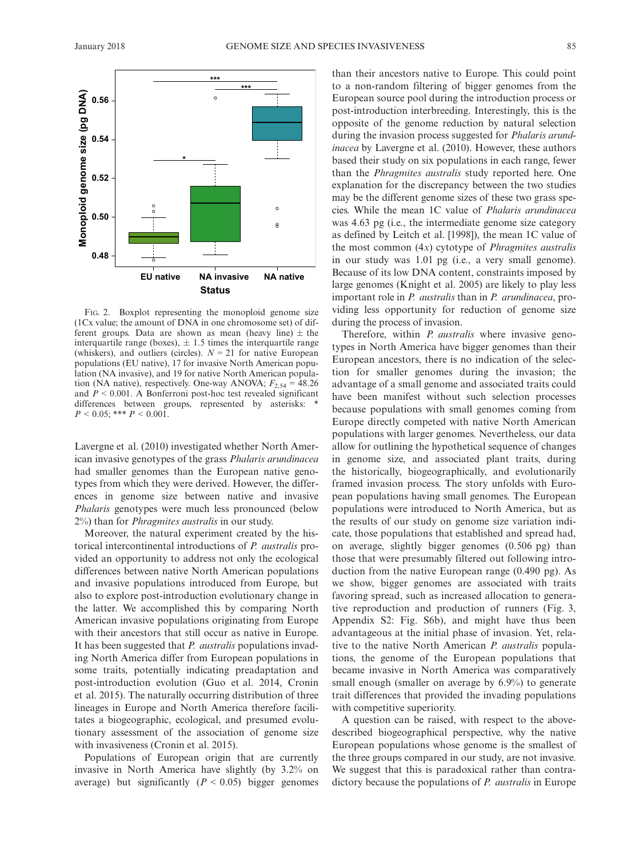

FIG. 2. Boxplot representing the monoploid genome size (1Cx value; the amount of DNA in one chromosome set) of different groups. Data are shown as mean (heavy line)  $\pm$  the interquartile range (boxes),  $\pm$  1.5 times the interquartile range (whiskers), and outliers (circles).  $N = 21$  for native European populations (EU native), 17 for invasive North American population (NA invasive), and 19 for native North American population (NA native), respectively. One-way ANOVA;  $F_{2,54} = 48.26$ and  $P < 0.001$ . A Bonferroni post-hoc test revealed significant differences between groups, represented by asterisks: \*  $P < 0.05$ ; \*\*\*  $P < 0.001$ .

Lavergne et al. (2010) investigated whether North American invasive genotypes of the grass Phalaris arundinacea had smaller genomes than the European native genotypes from which they were derived. However, the differences in genome size between native and invasive Phalaris genotypes were much less pronounced (below 2%) than for Phragmites australis in our study.

Moreover, the natural experiment created by the historical intercontinental introductions of P. australis provided an opportunity to address not only the ecological differences between native North American populations and invasive populations introduced from Europe, but also to explore post-introduction evolutionary change in the latter. We accomplished this by comparing North American invasive populations originating from Europe with their ancestors that still occur as native in Europe. It has been suggested that *P. australis* populations invading North America differ from European populations in some traits, potentially indicating preadaptation and post-introduction evolution (Guo et al. 2014, Cronin et al. 2015). The naturally occurring distribution of three lineages in Europe and North America therefore facilitates a biogeographic, ecological, and presumed evolutionary assessment of the association of genome size with invasiveness (Cronin et al. 2015).

Populations of European origin that are currently invasive in North America have slightly (by 3.2% on average) but significantly  $(P < 0.05)$  bigger genomes than their ancestors native to Europe. This could point to a non-random filtering of bigger genomes from the European source pool during the introduction process or post-introduction interbreeding. Interestingly, this is the opposite of the genome reduction by natural selection during the invasion process suggested for *Phalaris arund*inacea by Lavergne et al. (2010). However, these authors based their study on six populations in each range, fewer than the Phragmites australis study reported here. One explanation for the discrepancy between the two studies may be the different genome sizes of these two grass species. While the mean 1C value of Phalaris arundinacea was 4.63 pg (i.e., the intermediate genome size category as defined by Leitch et al. [1998]), the mean 1C value of the most common  $(4x)$  cytotype of *Phragmites australis* in our study was 1.01 pg (i.e., a very small genome). Because of its low DNA content, constraints imposed by large genomes (Knight et al. 2005) are likely to play less important role in P. australis than in P. arundinacea, providing less opportunity for reduction of genome size during the process of invasion.

Therefore, within *P. australis* where invasive genotypes in North America have bigger genomes than their European ancestors, there is no indication of the selection for smaller genomes during the invasion; the advantage of a small genome and associated traits could have been manifest without such selection processes because populations with small genomes coming from Europe directly competed with native North American populations with larger genomes. Nevertheless, our data allow for outlining the hypothetical sequence of changes in genome size, and associated plant traits, during the historically, biogeographically, and evolutionarily framed invasion process. The story unfolds with European populations having small genomes. The European populations were introduced to North America, but as the results of our study on genome size variation indicate, those populations that established and spread had, on average, slightly bigger genomes (0.506 pg) than those that were presumably filtered out following introduction from the native European range (0.490 pg). As we show, bigger genomes are associated with traits favoring spread, such as increased allocation to generative reproduction and production of runners (Fig. 3, Appendix S2: Fig. S6b), and might have thus been advantageous at the initial phase of invasion. Yet, relative to the native North American P. australis populations, the genome of the European populations that became invasive in North America was comparatively small enough (smaller on average by 6.9%) to generate trait differences that provided the invading populations with competitive superiority.

A question can be raised, with respect to the abovedescribed biogeographical perspective, why the native European populations whose genome is the smallest of the three groups compared in our study, are not invasive. We suggest that this is paradoxical rather than contradictory because the populations of P. *australis* in Europe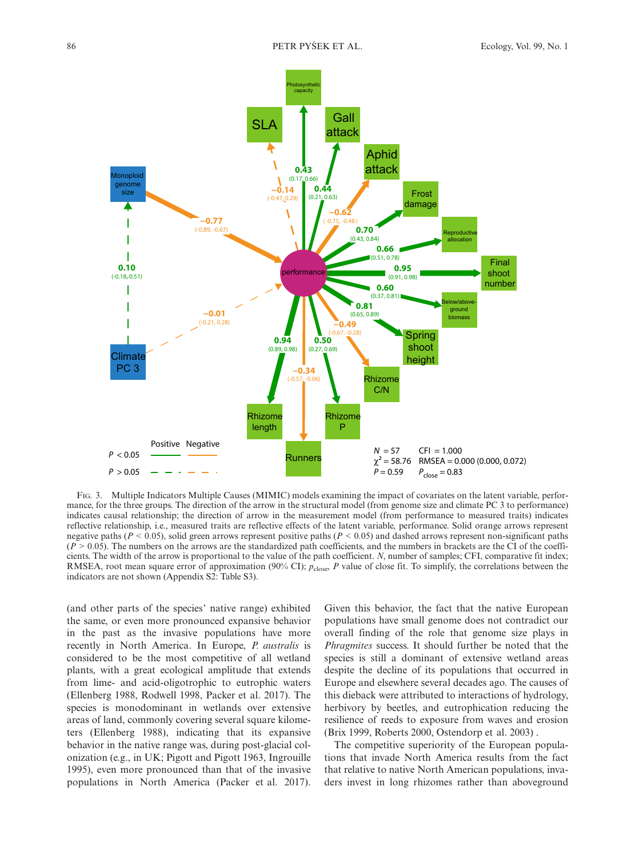

FIG. 3. Multiple Indicators Multiple Causes (MIMIC) models examining the impact of covariates on the latent variable, performance, for the three groups. The direction of the arrow in the structural model (from genome size and climate PC 3 to performance) indicates causal relationship; the direction of arrow in the measurement model (from performance to measured traits) indicates reflective relationship, i.e., measured traits are reflective effects of the latent variable, performance. Solid orange arrows represent negative paths ( $P < 0.05$ ), solid green arrows represent positive paths ( $P < 0.05$ ) and dashed arrows represent non-significant paths  $(P > 0.05)$ . The numbers on the arrows are the standardized path coefficients, and the numbers in brackets are the CI of the coefficients. The width of the arrow is proportional to the value of the path coefficient. N, number of samples; CFI, comparative fit index; RMSEA, root mean square error of approximation (90% CI);  $p_{\text{close}}$ , P value of close fit. To simplify, the correlations between the indicators are not shown (Appendix S2: Table S3).

(and other parts of the species' native range) exhibited the same, or even more pronounced expansive behavior in the past as the invasive populations have more recently in North America. In Europe, P. australis is considered to be the most competitive of all wetland plants, with a great ecological amplitude that extends from lime- and acid-oligotrophic to eutrophic waters (Ellenberg 1988, Rodwell 1998, Packer et al. 2017). The species is monodominant in wetlands over extensive areas of land, commonly covering several square kilometers (Ellenberg 1988), indicating that its expansive behavior in the native range was, during post-glacial colonization (e.g., in UK; Pigott and Pigott 1963, Ingrouille 1995), even more pronounced than that of the invasive populations in North America (Packer et al. 2017). Given this behavior, the fact that the native European populations have small genome does not contradict our overall finding of the role that genome size plays in Phragmites success. It should further be noted that the species is still a dominant of extensive wetland areas despite the decline of its populations that occurred in Europe and elsewhere several decades ago. The causes of this dieback were attributed to interactions of hydrology, herbivory by beetles, and eutrophication reducing the resilience of reeds to exposure from waves and erosion (Brix 1999, Roberts 2000, Ostendorp et al. 2003) .

The competitive superiority of the European populations that invade North America results from the fact that relative to native North American populations, invaders invest in long rhizomes rather than aboveground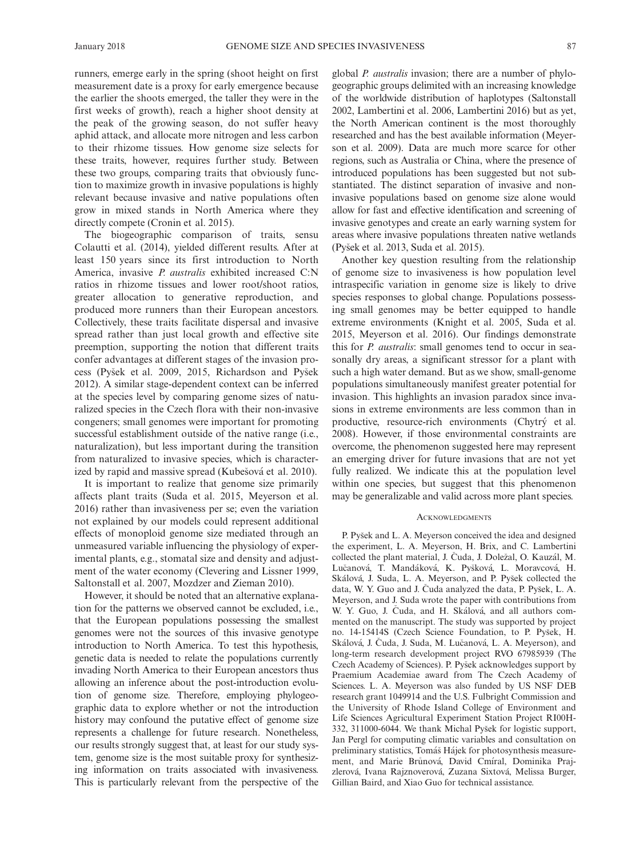runners, emerge early in the spring (shoot height on first measurement date is a proxy for early emergence because the earlier the shoots emerged, the taller they were in the first weeks of growth), reach a higher shoot density at the peak of the growing season, do not suffer heavy aphid attack, and allocate more nitrogen and less carbon to their rhizome tissues. How genome size selects for these traits, however, requires further study. Between these two groups, comparing traits that obviously function to maximize growth in invasive populations is highly relevant because invasive and native populations often grow in mixed stands in North America where they directly compete (Cronin et al. 2015).

The biogeographic comparison of traits, sensu Colautti et al. (2014), yielded different results. After at least 150 years since its first introduction to North America, invasive *P. australis* exhibited increased C:N ratios in rhizome tissues and lower root/shoot ratios, greater allocation to generative reproduction, and produced more runners than their European ancestors. Collectively, these traits facilitate dispersal and invasive spread rather than just local growth and effective site preemption, supporting the notion that different traits confer advantages at different stages of the invasion process (Pysek et al. 2009, 2015, Richardson and Pysek 2012). A similar stage-dependent context can be inferred at the species level by comparing genome sizes of naturalized species in the Czech flora with their non-invasive congeners; small genomes were important for promoting successful establishment outside of the native range (i.e., naturalization), but less important during the transition from naturalized to invasive species, which is characterized by rapid and massive spread (Kubešová et al. 2010).

It is important to realize that genome size primarily affects plant traits (Suda et al. 2015, Meyerson et al. 2016) rather than invasiveness per se; even the variation not explained by our models could represent additional effects of monoploid genome size mediated through an unmeasured variable influencing the physiology of experimental plants, e.g., stomatal size and density and adjustment of the water economy (Clevering and Lissner 1999, Saltonstall et al. 2007, Mozdzer and Zieman 2010).

However, it should be noted that an alternative explanation for the patterns we observed cannot be excluded, i.e., that the European populations possessing the smallest genomes were not the sources of this invasive genotype introduction to North America. To test this hypothesis, genetic data is needed to relate the populations currently invading North America to their European ancestors thus allowing an inference about the post-introduction evolution of genome size. Therefore, employing phylogeographic data to explore whether or not the introduction history may confound the putative effect of genome size represents a challenge for future research. Nonetheless, our results strongly suggest that, at least for our study system, genome size is the most suitable proxy for synthesizing information on traits associated with invasiveness. This is particularly relevant from the perspective of the global P. australis invasion; there are a number of phylogeographic groups delimited with an increasing knowledge of the worldwide distribution of haplotypes (Saltonstall 2002, Lambertini et al. 2006, Lambertini 2016) but as yet, the North American continent is the most thoroughly researched and has the best available information (Meyerson et al. 2009). Data are much more scarce for other regions, such as Australia or China, where the presence of introduced populations has been suggested but not substantiated. The distinct separation of invasive and noninvasive populations based on genome size alone would allow for fast and effective identification and screening of invasive genotypes and create an early warning system for areas where invasive populations threaten native wetlands (Pysek et al. 2013, Suda et al. 2015).

Another key question resulting from the relationship of genome size to invasiveness is how population level intraspecific variation in genome size is likely to drive species responses to global change. Populations possessing small genomes may be better equipped to handle extreme environments (Knight et al. 2005, Suda et al. 2015, Meyerson et al. 2016). Our findings demonstrate this for *P. australis*: small genomes tend to occur in seasonally dry areas, a significant stressor for a plant with such a high water demand. But as we show, small-genome populations simultaneously manifest greater potential for invasion. This highlights an invasion paradox since invasions in extreme environments are less common than in productive, resource-rich environments (Chytrý et al. 2008). However, if those environmental constraints are overcome, the phenomenon suggested here may represent an emerging driver for future invasions that are not yet fully realized. We indicate this at the population level within one species, but suggest that this phenomenon may be generalizable and valid across more plant species.

#### **ACKNOWLEDGMENTS**

P. Pysek and L. A. Meyerson conceived the idea and designed the experiment, L. A. Meyerson, H. Brix, and C. Lambertini collected the plant material, J. Čuda, J. Doležal, O. Kauzál, M. Lučanová, T. Mandáková, K. Pyšková, L. Moravcová, H. Skalova, J. Suda, L. A. Meyerson, and P. Pysek collected the data, W. Y. Guo and J. Čuda analyzed the data, P. Pyšek, L. A. Meyerson, and J. Suda wrote the paper with contributions from W. Y. Guo, J. Čuda, and H. Skálová, and all authors commented on the manuscript. The study was supported by project no. 14-15414S (Czech Science Foundation, to P. Pysek, H. Skálová, J. Čuda, J. Suda, M. Lučanová, L. A. Meyerson), and long-term research development project RVO 67985939 (The Czech Academy of Sciences). P. Pysek acknowledges support by Praemium Academiae award from The Czech Academy of Sciences. L. A. Meyerson was also funded by US NSF DEB research grant 1049914 and the U.S. Fulbright Commission and the University of Rhode Island College of Environment and Life Sciences Agricultural Experiment Station Project RI00H-332, 311000-6044. We thank Michal Pysek for logistic support, Jan Pergl for computing climatic variables and consultation on preliminary statistics, Tomas Hajek for photosynthesis measurement, and Marie Brůnová, David Cmíral, Dominika Prajzlerová, Ivana Rajznoverová, Zuzana Sixtová, Melissa Burger, Gillian Baird, and Xiao Guo for technical assistance.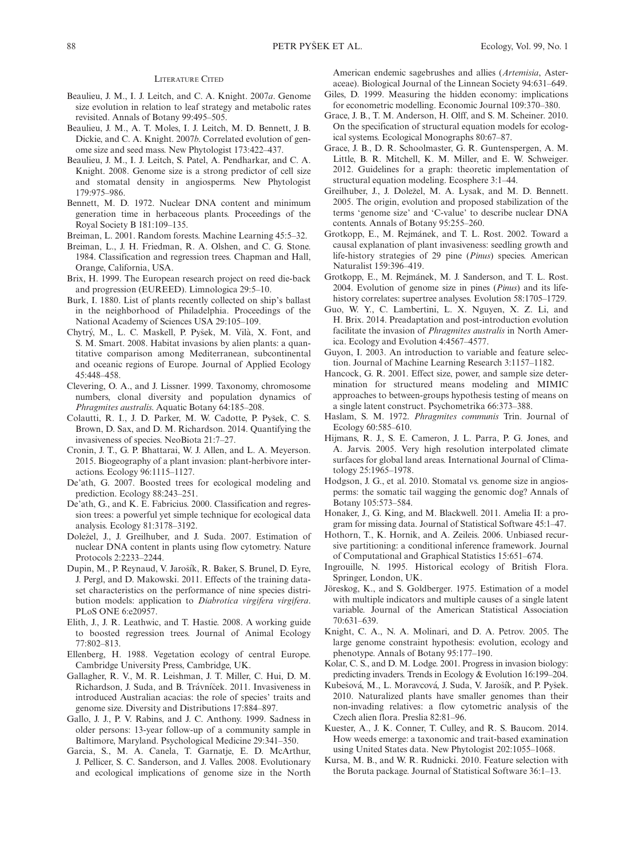#### LITERATURE CITED

- Beaulieu, J. M., I. J. Leitch, and C. A. Knight. 2007a. Genome size evolution in relation to leaf strategy and metabolic rates revisited. Annals of Botany 99:495–505.
- Beaulieu, J. M., A. T. Moles, I. J. Leitch, M. D. Bennett, J. B. Dickie, and C. A. Knight. 2007b. Correlated evolution of genome size and seed mass. New Phytologist 173:422–437.
- Beaulieu, J. M., I. J. Leitch, S. Patel, A. Pendharkar, and C. A. Knight. 2008. Genome size is a strong predictor of cell size and stomatal density in angiosperms. New Phytologist 179:975–986.
- Bennett, M. D. 1972. Nuclear DNA content and minimum generation time in herbaceous plants. Proceedings of the Royal Society B 181:109–135.
- Breiman, L. 2001. Random forests. Machine Learning 45:5–32.
- Breiman, L., J. H. Friedman, R. A. Olshen, and C. G. Stone. 1984. Classification and regression trees. Chapman and Hall, Orange, California, USA.
- Brix, H. 1999. The European research project on reed die-back and progression (EUREED). Limnologica 29:5–10.
- Burk, I. 1880. List of plants recently collected on ship's ballast in the neighborhood of Philadelphia. Proceedings of the National Academy of Sciences USA 29:105–109.
- Chytry, M., L. C. Maskell, P. Pysek, M. Vila, X. Font, and S. M. Smart. 2008. Habitat invasions by alien plants: a quantitative comparison among Mediterranean, subcontinental and oceanic regions of Europe. Journal of Applied Ecology 45:448–458.
- Clevering, O. A., and J. Lissner. 1999. Taxonomy, chromosome numbers, clonal diversity and population dynamics of Phragmites australis. Aquatic Botany 64:185–208.
- Colautti, R. I., J. D. Parker, M. W. Cadotte, P. Pysek, C. S. Brown, D. Sax, and D. M. Richardson. 2014. Quantifying the invasiveness of species. NeoBiota 21:7–27.
- Cronin, J. T., G. P. Bhattarai, W. J. Allen, and L. A. Meyerson. 2015. Biogeography of a plant invasion: plant-herbivore interactions. Ecology 96:1115–1127.
- De'ath, G. 2007. Boosted trees for ecological modeling and prediction. Ecology 88:243–251.
- De'ath, G., and K. E. Fabricius. 2000. Classification and regression trees: a powerful yet simple technique for ecological data analysis. Ecology 81:3178–3192.
- Dolezel, J., J. Greilhuber, and J. Suda. 2007. Estimation of nuclear DNA content in plants using flow cytometry. Nature Protocols 2:2233–2244.
- Dupin, M., P. Reynaud, V. Jarosık, R. Baker, S. Brunel, D. Eyre, J. Pergl, and D. Makowski. 2011. Effects of the training dataset characteristics on the performance of nine species distribution models: application to Diabrotica virgifera virgifera. PLoS ONE 6:e20957.
- Elith, J., J. R. Leathwic, and T. Hastie. 2008. A working guide to boosted regression trees. Journal of Animal Ecology 77:802–813.
- Ellenberg, H. 1988. Vegetation ecology of central Europe. Cambridge University Press, Cambridge, UK.
- Gallagher, R. V., M. R. Leishman, J. T. Miller, C. Hui, D. M. Richardson, J. Suda, and B. Trávníček. 2011. Invasiveness in introduced Australian acacias: the role of species' traits and genome size. Diversity and Distributions 17:884–897.
- Gallo, J. J., P. V. Rabins, and J. C. Anthony. 1999. Sadness in older persons: 13-year follow-up of a community sample in Baltimore, Maryland. Psychological Medicine 29:341–350.
- Garcia, S., M. A. Canela, T. Garnatje, E. D. McArthur, J. Pellicer, S. C. Sanderson, and J. Valles. 2008. Evolutionary and ecological implications of genome size in the North

American endemic sagebrushes and allies (Artemisia, Asteraceae). Biological Journal of the Linnean Society 94:631–649.

- Giles, D. 1999. Measuring the hidden economy: implications for econometric modelling. Economic Journal 109:370–380.
- Grace, J. B., T. M. Anderson, H. Olff, and S. M. Scheiner. 2010. On the specification of structural equation models for ecological systems. Ecological Monographs 80:67–87.
- Grace, J. B., D. R. Schoolmaster, G. R. Guntenspergen, A. M. Little, B. R. Mitchell, K. M. Miller, and E. W. Schweiger. 2012. Guidelines for a graph: theoretic implementation of structural equation modeling. Ecosphere 3:1–44.
- Greilhuber, J., J. Dolezel, M. A. Lysak, and M. D. Bennett. 2005. The origin, evolution and proposed stabilization of the terms 'genome size' and 'C-value' to describe nuclear DNA contents. Annals of Botany 95:255–260.
- Grotkopp, E., M. Rejmánek, and T. L. Rost. 2002. Toward a causal explanation of plant invasiveness: seedling growth and life-history strategies of 29 pine (Pinus) species. American Naturalist 159:396–419.
- Grotkopp, E., M. Rejmánek, M. J. Sanderson, and T. L. Rost. 2004. Evolution of genome size in pines (Pinus) and its lifehistory correlates: supertree analyses. Evolution 58:1705–1729.
- Guo, W. Y., C. Lambertini, L. X. Nguyen, X. Z. Li, and H. Brix. 2014. Preadaptation and post-introduction evolution facilitate the invasion of Phragmites australis in North America. Ecology and Evolution 4:4567–4577.
- Guyon, I. 2003. An introduction to variable and feature selection. Journal of Machine Learning Research 3:1157–1182.
- Hancock, G. R. 2001. Effect size, power, and sample size determination for structured means modeling and MIMIC approaches to between-groups hypothesis testing of means on a single latent construct. Psychometrika 66:373–388.
- Haslam, S. M. 1972. Phragmites communis Trin. Journal of Ecology 60:585–610.
- Hijmans, R. J., S. E. Cameron, J. L. Parra, P. G. Jones, and A. Jarvis. 2005. Very high resolution interpolated climate surfaces for global land areas. International Journal of Climatology 25:1965–1978.
- Hodgson, J. G., et al. 2010. Stomatal vs. genome size in angiosperms: the somatic tail wagging the genomic dog? Annals of Botany 105:573–584.
- Honaker, J., G. King, and M. Blackwell. 2011. Amelia II: a program for missing data. Journal of Statistical Software 45:1–47.
- Hothorn, T., K. Hornik, and A. Zeileis. 2006. Unbiased recursive partitioning: a conditional inference framework. Journal of Computational and Graphical Statistics 15:651–674.
- Ingrouille, N. 1995. Historical ecology of British Flora. Springer, London, UK.
- Jӧreskog, K., and S. Goldberger. 1975. Estimation of a model with multiple indicators and multiple causes of a single latent variable. Journal of the American Statistical Association 70:631–639.
- Knight, C. A., N. A. Molinari, and D. A. Petrov. 2005. The large genome constraint hypothesis: evolution, ecology and phenotype. Annals of Botany 95:177–190.
- Kolar, C. S., and D. M. Lodge. 2001. Progress in invasion biology: predicting invaders. Trends in Ecology & Evolution 16:199–204.
- Kubešová, M., L. Moravcová, J. Suda, V. Jarošík, and P. Pyšek. 2010. Naturalized plants have smaller genomes than their non-invading relatives: a flow cytometric analysis of the Czech alien flora. Preslia 82:81–96.
- Kuester, A., J. K. Conner, T. Culley, and R. S. Baucom. 2014. How weeds emerge: a taxonomic and trait-based examination using United States data. New Phytologist 202:1055–1068.
- Kursa, M. B., and W. R. Rudnicki. 2010. Feature selection with the Boruta package. Journal of Statistical Software 36:1–13.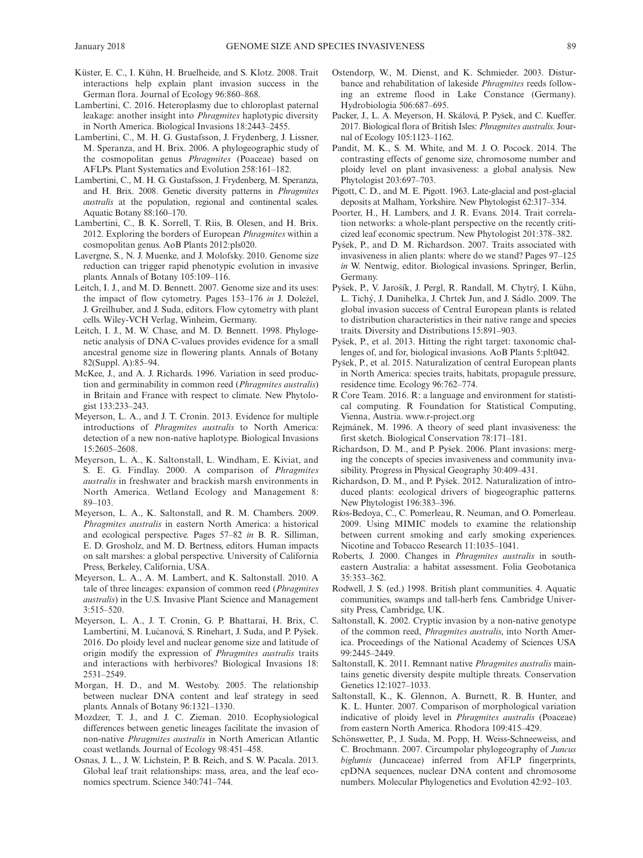- Küster, E. C., I. Kühn, H. Bruelheide, and S. Klotz. 2008. Trait interactions help explain plant invasion success in the German flora. Journal of Ecology 96:860–868.
- Lambertini, C. 2016. Heteroplasmy due to chloroplast paternal leakage: another insight into *Phragmites* haplotypic diversity in North America. Biological Invasions 18:2443–2455.
- Lambertini, C., M. H. G. Gustafsson, J. Frydenberg, J. Lissner, M. Speranza, and H. Brix. 2006. A phylogeographic study of the cosmopolitan genus Phragmites (Poaceae) based on AFLPs. Plant Systematics and Evolution 258:161–182.
- Lambertini, C., M. H. G. Gustafsson, J. Frydenberg, M. Speranza, and H. Brix. 2008. Genetic diversity patterns in Phragmites australis at the population, regional and continental scales. Aquatic Botany 88:160–170.
- Lambertini, C., B. K. Sorrell, T. Riis, B. Olesen, and H. Brix. 2012. Exploring the borders of European *Phragmites* within a cosmopolitan genus. AoB Plants 2012:pls020.
- Lavergne, S., N. J. Muenke, and J. Molofsky. 2010. Genome size reduction can trigger rapid phenotypic evolution in invasive plants. Annals of Botany 105:109–116.
- Leitch, I. J., and M. D. Bennett. 2007. Genome size and its uses: the impact of flow cytometry. Pages 153-176 in J. Doležel, J. Greilhuber, and J. Suda, editors. Flow cytometry with plant cells. Wiley-VCH Verlag, Winheim, Germany.
- Leitch, I. J., M. W. Chase, and M. D. Bennett. 1998. Phylogenetic analysis of DNA C-values provides evidence for a small ancestral genome size in flowering plants. Annals of Botany 82(Suppl. A):85–94.
- McKee, J., and A. J. Richards. 1996. Variation in seed production and germinability in common reed (Phragmites australis) in Britain and France with respect to climate. New Phytologist 133:233–243.
- Meyerson, L. A., and J. T. Cronin. 2013. Evidence for multiple introductions of Phragmites australis to North America: detection of a new non-native haplotype. Biological Invasions 15:2605–2608.
- Meyerson, L. A., K. Saltonstall, L. Windham, E. Kiviat, and S. E. G. Findlay. 2000. A comparison of Phragmites australis in freshwater and brackish marsh environments in North America. Wetland Ecology and Management 8: 89–103.
- Meyerson, L. A., K. Saltonstall, and R. M. Chambers. 2009. Phragmites australis in eastern North America: a historical and ecological perspective. Pages 57–82 in B. R. Silliman, E. D. Grosholz, and M. D. Bertness, editors. Human impacts on salt marshes: a global perspective. University of California Press, Berkeley, California, USA.
- Meyerson, L. A., A. M. Lambert, and K. Saltonstall. 2010. A tale of three lineages: expansion of common reed (Phragmites australis) in the U.S. Invasive Plant Science and Management  $3:515-520$
- Meyerson, L. A., J. T. Cronin, G. P. Bhattarai, H. Brix, C. Lambertini, M. Lučanová, S. Rinehart, J. Suda, and P. Pyšek. 2016. Do ploidy level and nuclear genome size and latitude of origin modify the expression of Phragmites australis traits and interactions with herbivores? Biological Invasions 18: 2531–2549.
- Morgan, H. D., and M. Westoby. 2005. The relationship between nuclear DNA content and leaf strategy in seed plants. Annals of Botany 96:1321–1330.
- Mozdzer, T. J., and J. C. Zieman. 2010. Ecophysiological differences between genetic lineages facilitate the invasion of non-native Phragmites australis in North American Atlantic coast wetlands. Journal of Ecology 98:451–458.
- Osnas, J. L., J. W. Lichstein, P. B. Reich, and S. W. Pacala. 2013. Global leaf trait relationships: mass, area, and the leaf economics spectrum. Science 340:741–744.
- Ostendorp, W., M. Dienst, and K. Schmieder. 2003. Disturbance and rehabilitation of lakeside Phragmites reeds following an extreme flood in Lake Constance (Germany). Hydrobiologia 506:687–695.
- Packer, J., L. A. Meyerson, H. Skálová, P. Pyšek, and C. Kueffer. 2017. Biological flora of British Isles: Phragmites australis. Journal of Ecology 105:1123–1162.
- Pandit, M. K., S. M. White, and M. J. O. Pocock. 2014. The contrasting effects of genome size, chromosome number and ploidy level on plant invasiveness: a global analysis. New Phytologist 203:697–703.
- Pigott, C. D., and M. E. Pigott. 1963. Late-glacial and post-glacial deposits at Malham, Yorkshire. New Phytologist 62:317–334.
- Poorter, H., H. Lambers, and J. R. Evans. 2014. Trait correlation networks: a whole-plant perspective on the recently criticized leaf economic spectrum. New Phytologist 201:378–382.
- Pysek, P., and D. M. Richardson. 2007. Traits associated with invasiveness in alien plants: where do we stand? Pages 97–125 in W. Nentwig, editor. Biological invasions. Springer, Berlin, Germany.
- Pyšek, P., V. Jarošík, J. Pergl, R. Randall, M. Chytrý, I. Kühn, L. Tichý, J. Danihelka, J. Chrtek Jun, and J. Sádlo. 2009. The global invasion success of Central European plants is related to distribution characteristics in their native range and species traits. Diversity and Distributions 15:891–903.
- Pysek, P., et al. 2013. Hitting the right target: taxonomic challenges of, and for, biological invasions. AoB Plants 5:plt042.
- Pysek, P., et al. 2015. Naturalization of central European plants in North America: species traits, habitats, propagule pressure, residence time. Ecology 96:762–774.
- R Core Team. 2016. R: a language and environment for statistical computing. R Foundation for Statistical Computing, Vienna, Austria. [www.r-project.org](http://www.r-project.org)
- Rejmanek, M. 1996. A theory of seed plant invasiveness: the first sketch. Biological Conservation 78:171–181.
- Richardson, D. M., and P. Pysek. 2006. Plant invasions: merging the concepts of species invasiveness and community invasibility. Progress in Physical Geography 30:409–431.
- Richardson, D. M., and P. Pysek. 2012. Naturalization of introduced plants: ecological drivers of biogeographic patterns. New Phytologist 196:383–396.
- Rıos-Bedoya, C., C. Pomerleau, R. Neuman, and O. Pomerleau. 2009. Using MIMIC models to examine the relationship between current smoking and early smoking experiences. Nicotine and Tobacco Research 11:1035–1041.
- Roberts, J. 2000. Changes in Phragmites australis in southeastern Australia: a habitat assessment. Folia Geobotanica 35:353–362.
- Rodwell, J. S. (ed.) 1998. British plant communities. 4. Aquatic communities, swamps and tall-herb fens. Cambridge University Press, Cambridge, UK.
- Saltonstall, K. 2002. Cryptic invasion by a non-native genotype of the common reed, *Phragmites australis*, into North America. Proceedings of the National Academy of Sciences USA 99:2445–2449.
- Saltonstall, K. 2011. Remnant native Phragmites australis maintains genetic diversity despite multiple threats. Conservation Genetics 12:1027–1033.
- Saltonstall, K., K. Glennon, A. Burnett, R. B. Hunter, and K. L. Hunter. 2007. Comparison of morphological variation indicative of ploidy level in *Phragmites australis* (Poaceae) from eastern North America. Rhodora 109:415–429.
- Schönswetter, P., J. Suda, M. Popp, H. Weiss-Schneeweiss, and C. Brochmann. 2007. Circumpolar phylogeography of Juncus biglumis (Juncaceae) inferred from AFLP fingerprints, cpDNA sequences, nuclear DNA content and chromosome numbers. Molecular Phylogenetics and Evolution 42:92–103.